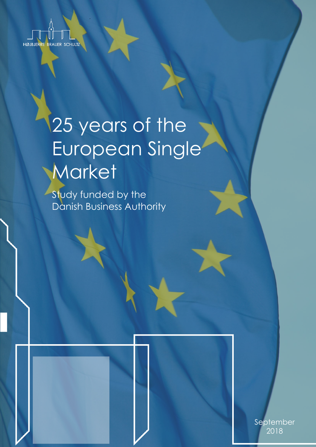

# 25 years of the European Single **Market**

Study funded by the Danish Business Authority



September 2018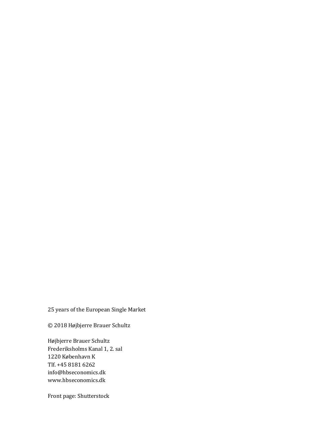### 25 years of the European Single Market

© 2018 Højbjerre Brauer Schultz

Højbjerre Brauer Schultz Frederiksholms Kanal 1, 2. sal 1220 København K Tlf. +45 8181 6262 [info@hbseconomics.dk](mailto:info@hbseconomics.dk) [www.hbseconomics.dk](http://www.hbseconomics.dk)

Front page: Shutterstock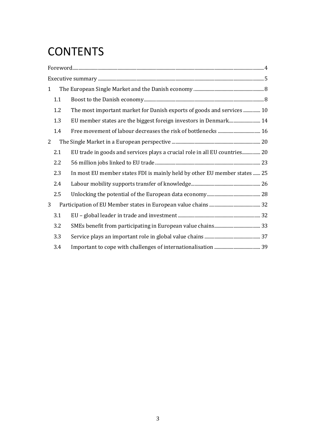# **CONTENTS**

| $\mathbf{1}$   |     |                                                                            |  |
|----------------|-----|----------------------------------------------------------------------------|--|
|                | 1.1 |                                                                            |  |
|                | 1.2 | The most important market for Danish exports of goods and services  10     |  |
|                | 1.3 | EU member states are the biggest foreign investors in Denmark 14           |  |
|                | 1.4 |                                                                            |  |
| $\overline{2}$ |     |                                                                            |  |
|                | 2.1 | EU trade in goods and services plays a crucial role in all EU countries 20 |  |
|                | 2.2 |                                                                            |  |
|                | 2.3 | In most EU member states FDI is mainly held by other EU member states  25  |  |
|                | 2.4 |                                                                            |  |
|                | 2.5 |                                                                            |  |
| 3              |     |                                                                            |  |
|                | 3.1 |                                                                            |  |
|                | 3.2 |                                                                            |  |
|                | 3.3 |                                                                            |  |
|                | 3.4 |                                                                            |  |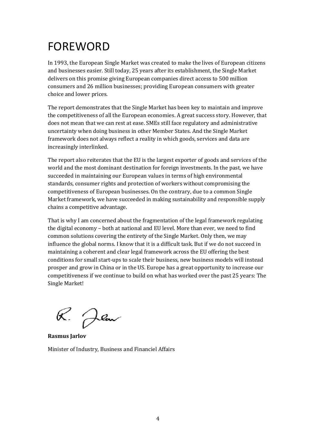# <span id="page-3-0"></span>FOREWORD

In 1993, the European Single Market was created to make the lives of European citizens and businesses easier. Still today, 25 years after its establishment, the Single Market delivers on this promise giving European companies direct access to 500 million consumers and 26 million businesses; providing European consumers with greater choice and lower prices.

The report demonstrates that the Single Market has been key to maintain and improve the competitiveness of all the European economies. A great success story. However, that does not mean that we can rest at ease. SMEs still face regulatory and administrative uncertainty when doing business in other Member States. And the Single Market framework does not always reflect a reality in which goods, services and data are increasingly interlinked.

The report also reiterates that the EU is the largest exporter of goods and services of the world and the most dominant destination for foreign investments. In the past, we have succeeded in maintaining our European values in terms of high environmental standards, consumer rights and protection of workers without compromising the competitiveness of European businesses. On the contrary, due to a common Single Market framework, we have succeeded in making sustainability and responsible supply chains a competitive advantage.

That is why I am concerned about the fragmentation of the legal framework regulating the digital economy – both at national and EU level. More than ever, we need to find common solutions covering the entirety of the Single Market. Only then, we may influence the global norms. I know that it is a difficult task. But if we do not succeed in maintaining a coherent and clear legal framework across the EU offering the best conditions for small start-ups to scale their business, new business models will instead prosper and grow in China or in the US. Europe has a great opportunity to increase our competitiveness if we continue to build on what has worked over the past 25 years: The Single Market!

R. Jlou

**Rasmus Jarlov**  Minister of Industry, Business and Financiel Affairs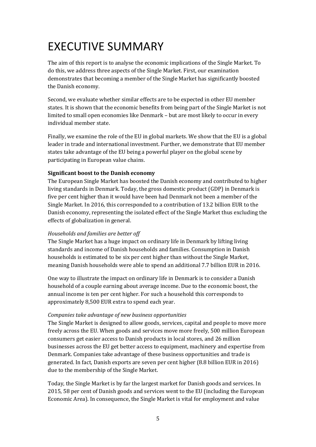# <span id="page-4-0"></span>EXECUTIVE SUMMARY

The aim of this report is to analyse the economic implications of the Single Market. To do this, we address three aspects of the Single Market. First, our examination demonstrates that becoming a member of the Single Market has significantly boosted the Danish economy.

Second, we evaluate whether similar effects are to be expected in other EU member states. It is shown that the economic benefits from being part of the Single Market is not limited to small open economies like Denmark – but are most likely to occur in every individual member state.

Finally, we examine the role of the EU in global markets. We show that the EU is a global leader in trade and international investment. Further, we demonstrate that EU member states take advantage of the EU being a powerful player on the global scene by participating in European value chains.

#### **Significant boost to the Danish economy**

The European Single Market has boosted the Danish economy and contributed to higher living standards in Denmark. Today, the gross domestic product (GDP) in Denmark is five per cent higher than it would have been had Denmark not been a member of the Single Market. In 2016, this corresponded to a contribution of 13.2 billion EUR to the Danish economy, representing the isolated effect of the Single Market thus excluding the effects of globalization in general.

#### *Households and families are better off*

The Single Market has a huge impact on ordinary life in Denmark by lifting living standards and income of Danish households and families. Consumption in Danish households is estimated to be six per cent higher than without the Single Market, meaning Danish households were able to spend an additional 7.7 billion EUR in 2016.

One way to illustrate the impact on ordinary life in Denmark is to consider a Danish household of a couple earning about average income. Due to the economic boost, the annual income is ten per cent higher. For such a household this corresponds to approximately 8,500 EUR extra to spend each year.

#### *Companies take advantage of new business opportunities*

The Single Market is designed to allow goods, services, capital and people to move more freely across the EU. When goods and services move more freely, 500 million European consumers get easier access to Danish products in local stores, and 26 million businesses across the EU get better access to equipment, machinery and expertise from Denmark. Companies take advantage of these business opportunities and trade is generated. In fact, Danish exports are seven per cent higher (8.8 billion EUR in 2016) due to the membership of the Single Market.

Today, the Single Market is by far the largest market for Danish goods and services. In 2015, 58 per cent of Danish goods and services went to the EU (including the European Economic Area). In consequence, the Single Market is vital for employment and value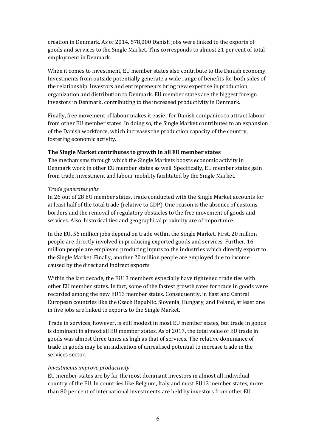creation in Denmark. As of 2014, 578,000 Danish jobs were linked to the exports of goods and services to the Single Market. This corresponds to almost 21 per cent of total employment in Denmark.

When it comes to investment, EU member states also contribute to the Danish economy. Investments from outside potentially generate a wide range of benefits for both sides of the relationship. Investors and entrepreneurs bring new expertise in production, organization and distribution to Denmark. EU member states are the biggest foreign investors in Denmark, contributing to the increased productivity in Denmark.

Finally, free movement of labour makes it easier for Danish companies to attract labour from other EU member states. In doing so, the Single Market contributes to an expansion of the Danish workforce, which increases the production capacity of the country, fostering economic activity.

#### **The Single Market contributes to growth in all EU member states**

The mechanisms through which the Single Markets boosts economic activity in Denmark work in other EU member states as well. Specifically, EU member states gain from trade, investment and labour mobility facilitated by the Single Market.

#### *Trade generates jobs*

In 26 out of 28 EU member states, trade conducted with the Single Market accounts for at least half of the total trade (relative to GDP). One reason is the absence of customs borders and the removal of regulatory obstacles to the free movement of goods and services. Also, historical ties and geographical proximity are of importance.

In the EU, 56 million jobs depend on trade within the Single Market. First, 20 million people are directly involved in producing exported goods and services. Further, 16 million people are employed producing inputs to the industries which directly export to the Single Market. Finally, another 20 million people are employed due to income caused by the direct and indirect exports.

Within the last decade, the EU13 members especially have tightened trade ties with other EU member states. In fact, some of the fastest growth rates for trade in goods were recorded among the new EU13 member states. Consequently, in East and Central European countries like the Czech Republic, Slovenia, Hungary, and Poland, at least one in five jobs are linked to exports to the Single Market.

Trade in services, however, is still modest in most EU member states, but trade in goods is dominant in almost all EU member states. As of 2017, the total value of EU trade in goods was almost three times as high as that of services. The relative dominance of trade in goods may be an indication of unrealised potential to increase trade in the services sector.

#### *Investments improve productivity*

EU member states are by far the most dominant investors in almost all individual country of the EU. In countries like Belgium, Italy and most EU13 member states, more than 80 per cent of international investments are held by investors from other EU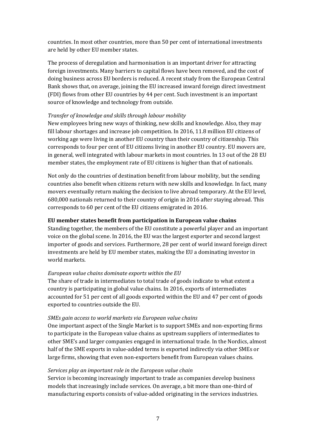countries. In most other countries, more than 50 per cent of international investments are held by other EU member states.

The process of deregulation and harmonisation is an important driver for attracting foreign investments. Many barriers to capital flows have been removed, and the cost of doing business across EU borders is reduced. A recent study from the European Central Bank shows that, on average, joining the EU increased inward foreign direct investment (FDI) flows from other EU countries by 44 per cent. Such investment is an important source of knowledge and technology from outside.

#### *Transfer of knowledge and skills through labour mobility*

New employees bring new ways of thinking, new skills and knowledge. Also, they may fill labour shortages and increase job competition. In 2016, 11.8 million EU citizens of working age were living in another EU country than their country of citizenship. This corresponds to four per cent of EU citizens living in another EU country. EU movers are, in general, well integrated with labour markets in most countries. In 13 out of the 28 EU member states, the employment rate of EU citizens is higher than that of nationals.

Not only do the countries of destination benefit from labour mobility, but the sending countries also benefit when citizens return with new skills and knowledge. In fact, many movers eventually return making the decision to live abroad temporary. At the EU level, 680,000 nationals returned to their country of origin in 2016 after staying abroad. This corresponds to 60 per cent of the EU citizens emigrated in 2016.

#### **EU member states benefit from participation in European value chains**

Standing together, the members of the EU constitute a powerful player and an important voice on the global scene. In 2016, the EU was the largest exporter and second largest importer of goods and services. Furthermore, 28 per cent of world inward foreign direct investments are held by EU member states, making the EU a dominating investor in world markets.

#### *European value chains dominate exports within the EU*

The share of trade in intermediates to total trade of goods indicate to what extent a country is participating in global value chains. In 2016, exports of intermediates accounted for 51 per cent of all goods exported within the EU and 47 per cent of goods exported to countries outside the EU.

#### *SMEs gain access to world markets via European value chains*

One important aspect of the Single Market is to support SMEs and non-exporting firms to participate in the European value chains as upstream suppliers of intermediates to other SME's and larger companies engaged in international trade. In the Nordics, almost half of the SME exports in value-added terms is exported indirectly via other SMEs or large firms, showing that even non-exporters benefit from European values chains.

#### *Services play an important role in the European value chain*

Service is becoming increasingly important to trade as companies develop business models that increasingly include services. On average, a bit more than one-third of manufacturing exports consists of value-added originating in the services industries.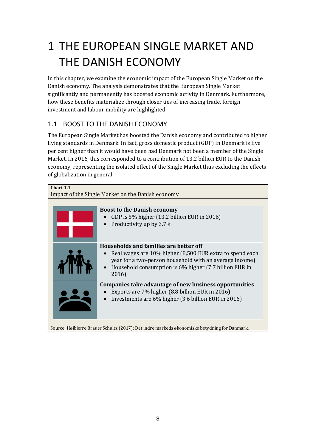# <span id="page-7-0"></span>1 THE EUROPEAN SINGLE MARKET AND THE DANISH ECONOMY

In this chapter, we examine the economic impact of the European Single Market on the Danish economy. The analysis demonstrates that the European Single Market significantly and permanently has boosted economic activity in Denmark. Furthermore, how these benefits materialize through closer ties of increasing trade, foreign investment and labour mobility are highlighted.

# <span id="page-7-1"></span>1.1 BOOST TO THE DANISH ECONOMY

The European Single Market has boosted the Danish economy and contributed to higher living standards in Denmark. In fact, gross domestic product (GDP) in Denmark is five per cent higher than it would have been had Denmark not been a member of the Single Market. In 2016, this corresponded to a contribution of 13.2 billion EUR to the Danish economy, representing the isolated effect of the Single Market thus excluding the effects of globalization in general.

| Chart 1.1                                         |                                                                                                                                                                                                                                  |  |  |  |
|---------------------------------------------------|----------------------------------------------------------------------------------------------------------------------------------------------------------------------------------------------------------------------------------|--|--|--|
| Impact of the Single Market on the Danish economy |                                                                                                                                                                                                                                  |  |  |  |
|                                                   | <b>Boost to the Danish economy</b><br>GDP is 5% higher $(13.2 \text{ billion EUR}$ in 2016)<br>Productivity up by 3.7%                                                                                                           |  |  |  |
|                                                   | Households and families are better off<br>Real wages are 10% higher (8,500 EUR extra to spend each<br>year for a two-person household with an average income)<br>Household consumption is 6% higher (7.7 billion EUR in<br>2016) |  |  |  |
|                                                   | Companies take advantage of new business opportunities<br>Exports are 7% higher (8.8 billion EUR in 2016)<br>Investments are 6% higher (3.6 billion EUR in 2016)                                                                 |  |  |  |

Source: Højbjerre Brauer Schultz (2017): Det indre markeds økonomiske betydning for Danmark.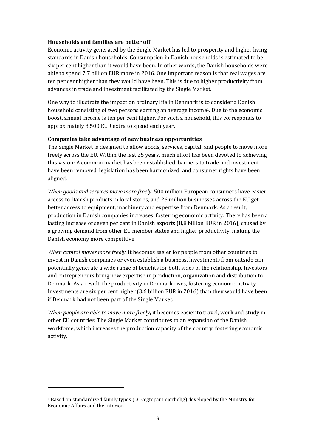#### **Households and families are better off**

Economic activity generated by the Single Market has led to prosperity and higher living standards in Danish households. Consumption in Danish households is estimated to be six per cent higher than it would have been. In other words, the Danish households were able to spend 7.7 billion EUR more in 2016. One important reason is that real wages are ten per cent higher than they would have been. This is due to higher productivity from advances in trade and investment facilitated by the Single Market.

<span id="page-8-1"></span>One way to illustrate the impact on ordinary life in Denmark is to consider a Danish household consisting of two persons earning an average income[1](#page-8-0). Due to the economic boost, annual income is ten per cent higher. For such a household, this corresponds to approximately 8,500 EUR extra to spend each year.

#### **Companies take advantage of new business opportunities**

The Single Market is designed to allow goods, services, capital, and people to move more freely across the EU. Within the last 25 years, much effort has been devoted to achieving this vision: A common market has been established, barriers to trade and investment have been removed, legislation has been harmonized, and consumer rights have been aligned.

*When goods and services move more freely*, 500 million European consumers have easier access to Danish products in local stores, and 26 million businesses across the EU get better access to equipment, machinery and expertise from Denmark. As a result, production in Danish companies increases, fostering economic activity. There has been a lasting increase of seven per cent in Danish exports (8,8 billion EUR in 2016), caused by a growing demand from other EU member states and higher productivity, making the Danish economy more competitive.

*When capital moves more freely*, it becomes easier for people from other countries to invest in Danish companies or even establish a business. Investments from outside can potentially generate a wide range of benefits for both sides of the relationship. Investors and entrepreneurs bring new expertise in production, organization and distribution to Denmark. As a result, the productivity in Denmark rises, fostering economic activity. Investments are six per cent higher (3.6 billion EUR in 2016) than they would have been if Denmark had not been part of the Single Market.

*When people are able to move more freely***,** it becomes easier to travel, work and study in other EU countries. The Single Market contributes to an expansion of the Danish workforce, which increases the production capacity of the country, fostering economic activity.

<span id="page-8-0"></span>[<sup>1</sup>](#page-8-1) Based on standardized family types (LO-ægtepar i ejerbolig) developed by the Ministry for Economic Affairs and the Interior.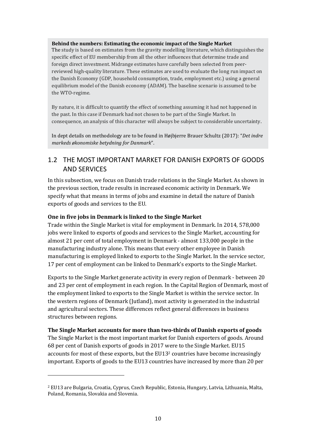#### **Behind the numbers: Estimating the economic impact of the Single Market**

The study is based on estimates from the gravity modelling literature, which distinguishes the specific effect of EU membership from all the other influences that determine trade and foreign direct investment. Midrange estimates have carefully been selected from peerreviewed high-quality literature. These estimates are used to evaluate the long run impact on the Danish Economy (GDP, household consumption, trade, employment etc.) using a general equilibrium model of the Danish economy (ADAM). The baseline scenario is assumed to be the WTO-regime.

By nature, it is difficult to quantify the effect of something assuming it had not happened in the past. In this case if Denmark had not chosen to be part of the Single Market. In consequence, an analysis of this character will always be subject to considerable uncertainty.

In dept details on methodology are to be found in Højbjerre Brauer Schultz (2017): "*Det indre markeds økonomiske betydning for Danmark*".

# <span id="page-9-0"></span>1.2 THE MOST IMPORTANT MARKET FOR DANISH EXPORTS OF GOODS AND SERVICES

In this subsection, we focus on Danish trade relations in the Single Market. As shown in the previous section, trade results in increased economic activity in Denmark. We specify what that means in terms of jobs and examine in detail the nature of Danish exports of goods and services to the EU.

#### **One in five jobs in Denmark is linked to the Single Market**

Trade within the Single Market is vital for employment in Denmark. In 2014, 578,000 jobs were linked to exports of goods and services to the Single Market, accounting for almost 21 per cent of total employment in Denmark - almost 133,000 people in the manufacturing industry alone. This means that every other employee in Danish manufacturing is employed linked to exports to the Single Market. In the service sector, 17 per cent of employment can be linked to Denmark's exports to the Single Market.

Exports to the Single Market generate activity in every region of Denmark - between 20 and 23 per cent of employment in each region. In the Capital Region of Denmark, most of the employment linked to exports to the Single Market is within the service sector. In the western regions of Denmark (Jutland), most activity is generated in the industrial and agricultural sectors. These differences reflect general differences in business structures between regions.

#### **The Single Market accounts for more than two-thirds of Danish exports of goods**

<span id="page-9-2"></span>The Single Market is the most important market for Danish exporters of goods. Around 68 per cent of Danish exports of goods in 2017 were to the Single Market. EU15 accounts for most of these exports, but the EU13[2](#page-9-1) countries have become increasingly important. Exports of goods to the EU13 countries have increased by more than 20 per

<span id="page-9-1"></span>[<sup>2</sup>](#page-9-2) EU13 are Bulgaria, Croatia, Cyprus, Czech Republic, Estonia, Hungary, Latvia, Lithuania, Malta, Poland, Romania, Slovakia and Slovenia.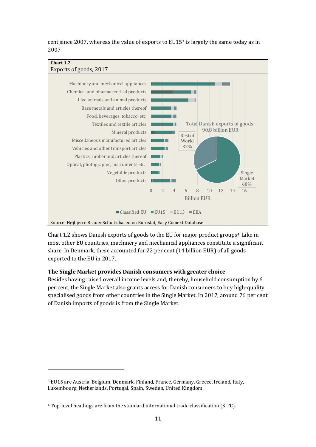<span id="page-10-1"></span>cent since 2007, whereas the value of exports to EU15[3](#page-10-0) is largely the same today as in 2007.



<span id="page-10-3"></span>Chart 1.2 shows Danish exports of goods to the EU for major product groups[4](#page-10-2). Like in most other EU countries, machinery and mechanical appliances constitute a significant share. In Denmark, these accounted for 22 per cent (14 billion EUR) of all goods exported to the EU in 2017.

#### **The Single Market provides Danish consumers with greater choice**

Besides having raised overall income levels and, thereby, household consumption by 6 per cent, the Single Market also grants access for Danish consumers to buy high-quality specialised goods from other countries in the Single Market. In 2017, around 76 per cent of Danish imports of goods is from the Single Market.

<span id="page-10-0"></span>[<sup>3</sup>](#page-10-1) EU15 are Austria, Belgium, Denmark, Finland, France, Germany, Greece, Ireland, Italy, Luxembourg, Netherlands, Portugal, Spain, Sweden, United Kingdom.

<span id="page-10-2"></span>[<sup>4</sup>](#page-10-3) Top-level headings are from the standard international trade classification (SITC).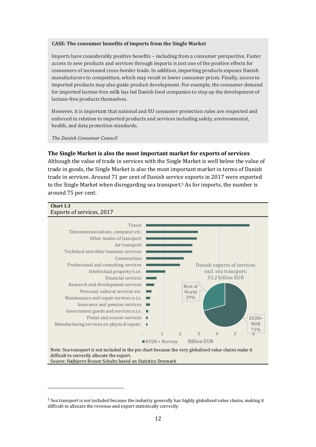#### **CASE: The consumer benefits of imports from the Single Market**

Imports have considerably positive benefits – including from a consumer perspective. Faster access to new products and services through imports is just one of the positive effects for consumers of increased cross-border trade. In addition, importing products exposes Danish manufacturers to competition, which may result in lower consumer prices. Finally, access to imported products may also guide product development. For example, the consumer demand for imported lactose-free milk has led Danish food companies to step up the development of lactose-free products themselves.

However, it is important that national and EU consumer protection rules are respected and enforced in relation to imported products and services including safety, environmental, health, and data protection standards.

*The Danish Consumer Council*

#### **The Single Market is also the most important market for exports of services**

Although the value of trade in services with the Single Market is well below the value of trade in goods, the Single Market is also the most important market in terms of Danish trade in services. Around 71 per cent of Danish service exports in 2017 were exported to the Single Market when disregarding sea transport.[5](#page-11-0) As for imports, the number is around 75 per cent.

# <span id="page-11-1"></span>**Chart 1.3**



Source: Højbjerre Brauer Schultz based on Statistics Denmark

<span id="page-11-0"></span>[<sup>5</sup>](#page-11-1) Sea transport is not included because the industry generally has highly globalised value chains, making it difficult to allocate the revenue and export statistically correctly.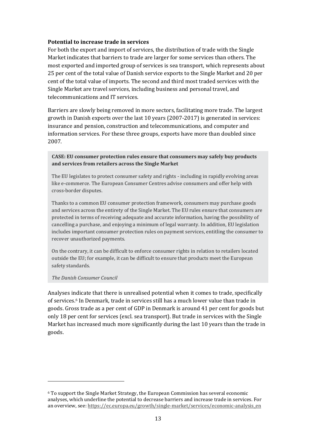#### **Potential to increase trade in services**

For both the export and import of services, the distribution of trade with the Single Market indicates that barriers to trade are larger for some services than others. The most exported and imported group of services is sea transport, which represents about 25 per cent of the total value of Danish service exports to the Single Market and 20 per cent of the total value of imports. The second and third most traded services with the Single Market are travel services, including business and personal travel, and telecommunications and IT services.

Barriers are slowly being removed in more sectors, facilitating more trade. The largest growth in Danish exports over the last 10 years (2007-2017) is generated in services: insurance and pension, construction and telecommunications, and computer and information services. For these three groups, exports have more than doubled since 2007.

#### **CASE: EU consumer protection rules ensure that consumers may safely buy products and services from retailers across the Single Market**

The EU legislates to protect consumer safety and rights - including in rapidly evolving areas like e-commerce. The European Consumer Centres advise consumers and offer help with cross-border disputes.

Thanks to a common EU consumer protection framework, consumers may purchase goods and services across the entirety of the Single Market. The EU rules ensure that consumers are protected in terms of receiving adequate and accurate information, having the possibility of cancelling a purchase, and enjoying a minimum of legal warranty. In addition, EU legislation includes important consumer protection rules on payment services, entitling the consumer to recover unauthorized payments.

On the contrary, it can be difficult to enforce consumer rights in relation to retailers located outside the EU; for example, it can be difficult to ensure that products meet the European safety standards.

#### *The Danish Consumer Council*

<span id="page-12-1"></span>Analyses indicate that there is unrealised potential when it comes to trade, specifically of services.[6](#page-12-0) In Denmark, trade in services still has a much lower value than trade in goods. Gross trade as a per cent of GDP in Denmark is around 41 per cent for goods but only 18 per cent for services (excl. sea transport). But trade in services with the Single Market has increased much more significantly during the last 10 years than the trade in goods.

<span id="page-12-0"></span>[<sup>6</sup>](#page-12-1) To support the Single Market Strategy, the European Commission has several economic analyses, which underline the potential to decrease barriers and increase trade in services. For an overview, see: [https://ec.europa.eu/growth/single-market/services/economic-analysis\\_en](https://ec.europa.eu/growth/single-market/services/economic-analysis_en)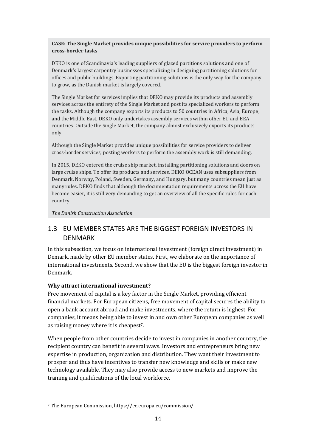#### **CASE: The Single Market provides unique possibilities for service providers to perform cross-border tasks**

DEKO is one of Scandinavia's leading suppliers of glazed partitions solutions and one of Denmark's largest carpentry businesses specializing in designing partitioning solutions for offices and public buildings. Exporting partitioning solutions is the only way for the company to grow, as the Danish market is largely covered.

The Single Market for services implies that DEKO may provide its products and assembly services across the entirety of the Single Market and post its specialized workers to perform the tasks. Although the company exports its products to 50 countries in Africa, Asia, Europe, and the Middle East, DEKO only undertakes assembly services within other EU and EEA countries. Outside the Single Market, the company almost exclusively exports its products only.

Although the Single Market provides unique possibilities for service providers to deliver cross-border services, posting workers to perform the assembly work is still demanding.

In 2015, DEKO entered the cruise ship market, installing partitioning solutions and doors on large cruise ships. To offer its products and services, DEKO OCEAN uses subsuppliers from Denmark, Norway, Poland, Sweden, Germany, and Hungary, but many countries mean just as many rules. DEKO finds that although the documentation requirements across the EU have become easier, it is still very demanding to get an overview of all the specific rules for each country.

*The Danish Construction Association*

### <span id="page-13-0"></span>1.3 EU MEMBER STATES ARE THE BIGGEST FOREIGN INVESTORS IN DENMARK

In this subsection, we focus on international investment (foreign direct investment) in Demark, made by other EU member states. First, we elaborate on the importance of international investments. Second, we show that the EU is the biggest foreign investor in Denmark.

#### **Why attract international investment?**

Free movement of capital is a key factor in the Single Market, providing efficient financial markets. For European citizens, free movement of capital secures the ability to open a bank account abroad and make investments, where the return is highest. For companies, it means being able to invest in and own other European companies as well as raising money where it is cheapest[7](#page-13-1).

<span id="page-13-2"></span>When people from other countries decide to invest in companies in another country, the recipient country can benefit in several ways. Investors and entrepreneurs bring new expertise in production, organization and distribution. They want their investment to prosper and thus have incentives to transfer new knowledge and skills or make new technology available. They may also provide access to new markets and improve the training and qualifications of the local workforce.

<span id="page-13-1"></span>[<sup>7</sup>](#page-13-2) The European Commission, <https://ec.europa.eu/commission/>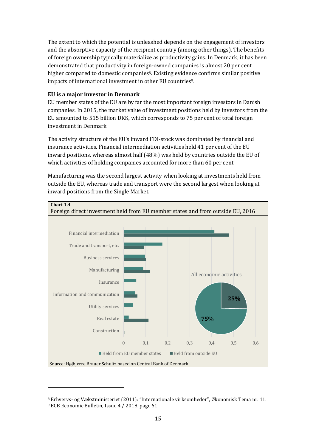The extent to which the potential is unleashed depends on the engagement of investors and the absorptive capacity of the recipient country (among other things). The benefits of foreign ownership typically materialize as productivity gains. In Denmark, it has been demonstrated that productivity in foreign-owned companies is almost 20 per cent higher compared to domestic companies<sup>[8](#page-14-0)</sup>. Existing evidence confirms similar positive impacts of international investment in other EU countries<sup>[9](#page-14-2)</sup>.

#### <span id="page-14-3"></span><span id="page-14-1"></span>**EU is a major investor in Denmark**

EU member states of the EU are by far the most important foreign investors in Danish companies. In 2015, the market value of investment positions held by investors from the EU amounted to 515 billion DKK, which corresponds to 75 per cent of total foreign investment in Denmark.

The activity structure of the EU's inward FDI-stock was dominated by financial and insurance activities. Financial intermediation activities held 41 per cent of the EU inward positions, whereas almost half (48%) was held by countries outside the EU of which activities of holding companies accounted for more than 60 per cent.

Manufacturing was the second largest activity when looking at investments held from outside the EU, whereas trade and transport were the second largest when looking at inward positions from the Single Market.



<span id="page-14-0"></span>[<sup>8</sup>](#page-14-1) Erhvervs- og Vækstministeriet (2011): "Internationale virksomheder", Økonomisk Tema nr. 11.

<span id="page-14-2"></span>[<sup>9</sup>](#page-14-3) ECB Economic Bulletin, Issue 4 / 2018, page 61.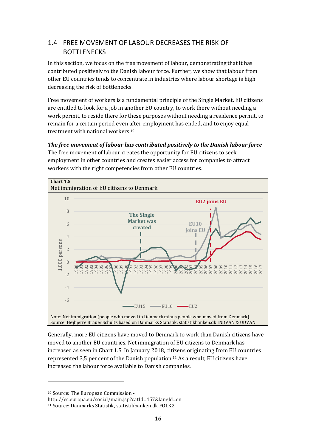# <span id="page-15-0"></span>1.4 FREE MOVEMENT OF LABOUR DECREASES THE RISK OF **BOTTLENECKS**

In this section, we focus on the free movement of labour, demonstrating that it has contributed positively to the Danish labour force. Further, we show that labour from other EU countries tends to concentrate in industries where labour shortage is high decreasing the risk of bottlenecks.

Free movement of workers is a fundamental principle of the Single Market. EU citizens are entitled to look for a job in another EU country, to work there without needing a work permit, to reside there for these purposes without needing a residence permit, to remain for a certain period even after employment has ended, and to enjoy equal treatment with national workers.[10](#page-15-1)

<span id="page-15-2"></span>*The free movement of labour has contributed positively to the Danish labour force* 

The free movement of labour creates the opportunity for EU citizens to seek employment in other countries and creates easier access for companies to attract workers with the right competencies from other EU countries.



Note: Net immigration (people who moved to Denmark minus people who moved from Denmark). Source: Højbjerre Brauer Schultz based on Danmarks Statistik, statistikbanken.dk INDVAN & UDVAN

<span id="page-15-4"></span>Generally, more EU citizens have moved to Denmark to work than Danish citizens have moved to another EU countries. Net immigration of EU citizens to Denmark has increased as seen in Chart 1.5. In January 2018, citizens originating from EU countries represented 3,5 per cent of the Danish population.[11](#page-15-3) As a result, EU citizens have increased the labour force available to Danish companies.

<span id="page-15-1"></span>[10](#page-15-2) Source: The European Commission -

<http://ec.europa.eu/social/main.jsp?catId=457&langId=en>

<span id="page-15-3"></span>[<sup>11</sup>](#page-15-4) Source: Danmarks Statistik, [statistikbanken.dk](http://statistikbanken.dk) FOLK2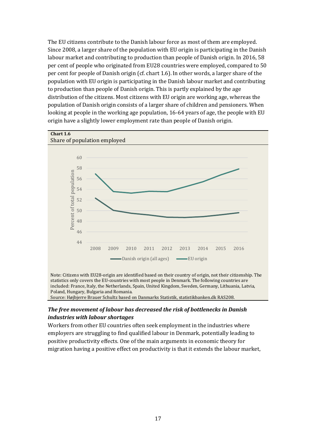The EU citizens contribute to the Danish labour force as most of them are employed. Since 2008, a larger share of the population with EU origin is participating in the Danish labour market and contributing to production than people of Danish origin. In 2016, 58 per cent of people who originated from EU28 countries were employed, compared to 50 per cent for people of Danish origin (cf. chart 1.6). In other words, a larger share of the population with EU origin is participating in the Danish labour market and contributing to production than people of Danish origin. This is partly explained by the age distribution of the citizens. Most citizens with EU origin are working age, whereas the population of Danish origin consists of a larger share of children and pensioners. When looking at people in the working age population, 16-64 years of age, the people with EU origin have a slightly lower employment rate than people of Danish origin.



Note: Citizens with EU28-origin are identified based on their country of origin, not their citizenship. The statistics only covers the EU-countries with most people in Denmark. The following countries are included: France, Italy, the Netherlands, Spain, United Kingdom, Sweden, Germany, Lithuania, Latvia, Poland, Hungary, Bulgaria and Romania.

#### Source: Højbjerre Brauer Schultz based on Danmarks Statistik, statistikbanken.dk RAS208.

#### *The free movement of labour has decreased the risk of bottlenecks in Danish industries with labour shortages*

Workers from other EU countries often seek employment in the industries where employers are struggling to find qualified labour in Denmark, potentially leading to positive productivity effects. One of the main arguments in economic theory for migration having a positive effect on productivity is that it extends the labour market,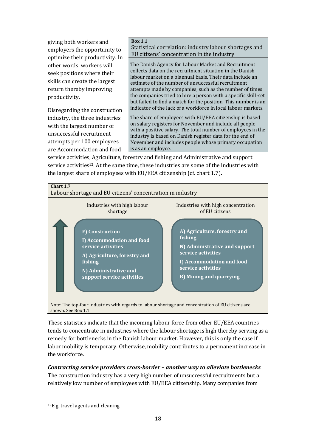giving both workers and employers the opportunity to optimize their productivity. In other words, workers will seek positions where their skills can create the largest return thereby improving productivity.

Disregarding the construction industry, the three industries with the largest number of unsuccessful recruitment attempts per 100 employees are Accommodation and food

#### **Box 1.1**  Statistical correlation: industry labour shortages and EU citizens' concentration in the industry

The Danish Agency for Labour Market and Recruitment collects data on the recruitment situation in the Danish labour market on a biannual basis. Their data include an estimate of the number of unsuccessful recruitment attempts made by companies, such as the number of times the companies tried to hire a person with a specific skill-set but failed to find a match for the position. This number is an indicator of the lack of a workforce in local labour markets.

The share of employees with EU/EEA citizenship is based on salary registers for November and include all people with a positive salary. The total number of employees in the industry is based on Danish register data for the end of November and includes people whose primary occupation is as an employee.

<span id="page-17-1"></span>service activities, Agriculture, forestry and fishing and Administrative and support service activities[12](#page-17-0). At the same time, these industries are some of the industries with the largest share of employees with EU/EEA citizenship (cf. chart 1.7).



Note: The top-four industries with regards to labour shortage and concentration of EU citizens are shown. See Box 1.1

These statistics indicate that the incoming labour force from other EU/EEA countries tends to concentrate in industries where the labour shortage is high thereby serving as a remedy for bottlenecks in the Danish labour market. However, this is only the case if labor mobility is temporary. Otherwise, mobility contributes to a permanent increase in the workforce.

#### *Contracting service providers cross-border – another way to alleviate bottlenecks*  The construction industry has a very high number of unsuccessful recruitments but a relatively low number of employees with EU/EEA citizenship. Many companies from

<span id="page-17-0"></span>[<sup>12</sup>](#page-17-1)E.g. travel agents and cleaning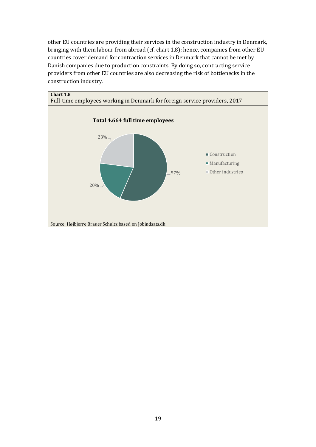other EU countries are providing their services in the construction industry in Denmark, bringing with them labour from abroad (cf. chart 1.8); hence, companies from other EU countries cover demand for contraction services in Denmark that cannot be met by Danish companies due to production constraints. By doing so, contracting service providers from other EU countries are also decreasing the risk of bottlenecks in the construction industry.



#### **Chart 1.8**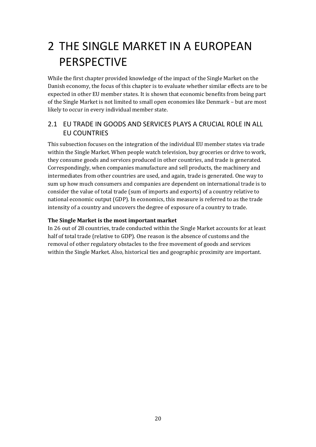# <span id="page-19-0"></span>2 THE SINGLE MARKET IN A EUROPEAN PERSPECTIVE

While the first chapter provided knowledge of the impact of the Single Market on the Danish economy, the focus of this chapter is to evaluate whether similar effects are to be expected in other EU member states. It is shown that economic benefits from being part of the Single Market is not limited to small open economies like Denmark – but are most likely to occur in every individual member state.

# <span id="page-19-1"></span>2.1 EU TRADE IN GOODS AND SERVICES PLAYS A CRUCIAL ROLE IN ALL EU COUNTRIES

This subsection focuses on the integration of the individual EU member states via trade within the Single Market. When people watch television, buy groceries or drive to work, they consume goods and services produced in other countries, and trade is generated. Correspondingly, when companies manufacture and sell products, the machinery and intermediates from other countries are used, and again, trade is generated. One way to sum up how much consumers and companies are dependent on international trade is to consider the value of total trade (sum of imports and exports) of a country relative to national economic output (GDP). In economics, this measure is referred to as the trade intensity of a country and uncovers the degree of exposure of a country to trade.

#### **The Single Market is the most important market**

In 26 out of 28 countries, trade conducted within the Single Market accounts for at least half of total trade (relative to GDP). One reason is the absence of customs and the removal of other regulatory obstacles to the free movement of goods and services within the Single Market. Also, historical ties and geographic proximity are important.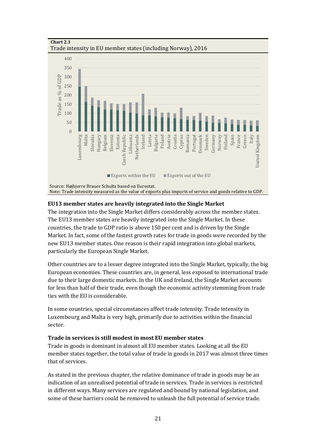

**Chart 2.1** 

#### **EU13 member states are heavily integrated into the Single Market**

The integration into the Single Market differs considerably across the member states. The EU13 member states are heavily integrated into the Single Market. In these countries, the trade to GDP ratio is above 150 per cent and is driven by the Single Market. In fact, some of the fastest growth rates for trade in goods were recorded by the new EU13 member states. One reason is their rapid integration into global markets, particularly the European Single Market.

Other countries are to a lesser degree integrated into the Single Market, typically, the big European economies. These countries are, in general, less exposed to international trade due to their large domestic markets. In the UK and Ireland, the Single Market accounts for less than half of their trade, even though the economic activity stemming from trade ties with the EU is considerable.

In some countries, special circumstances affect trade intensity. Trade intensity in Luxembourg and Malta is very high, primarily due to activities within the financial sector.

#### **Trade in services is still modest in most EU member states**

Trade in goods is dominant in almost all EU member states. Looking at all the EU member states together, the total value of trade in goods in 2017 was almost three times that of services.

As stated in the previous chapter, the relative dominance of trade in goods may be an indication of an unrealised potential of trade in services. Trade in services is restricted in different ways. Many services are regulated and bound by national legislation, and some of these barriers could be removed to unleash the full potential of service trade.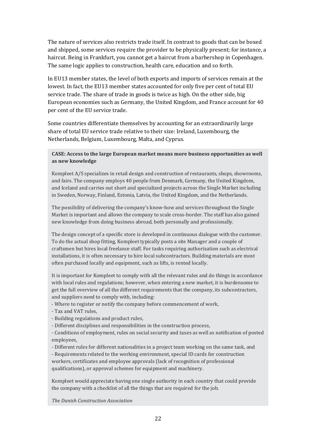The nature of services also restricts trade itself. In contrast to goods that can be boxed and shipped, some services require the provider to be physically present; for instance, a haircut. Being in Frankfurt, you cannot get a haircut from a barbershop in Copenhagen. The same logic applies to construction, health care, education and so forth.

In EU13 member states, the level of both exports and imports of services remain at the lowest. In fact, the EU13 member states accounted for only five per cent of total EU service trade. The share of trade in goods is twice as high. On the other side, big European economies such as Germany, the United Kingdom, and France account for 40 per cent of the EU service trade.

Some countries differentiate themselves by accounting for an extraordinarily large share of total EU service trade relative to their size: Ireland, Luxembourg, the Netherlands, Belgium, Luxembourg, Malta, and Cyprus.

#### **CASE: Access to the large European market means more business opportunities as well as new knowledge**

Kompleet A/S specializes in retail design and construction of restaurants, shops, showrooms, and fairs. The company employs 40 people from Denmark, Germany, the United Kingdom, and Iceland and carries out short and specialized projects across the Single Market including in Sweden, Norway, Finland, Estonia, Latvia, the United Kingdom, and the Netherlands.

The possibility of delivering the company's know-how and services throughout the Single Market is important and allows the company to scale cross-border. The staff has also gained new knowledge from doing business abroad, both personally and professionally.

The design concept of a specific store is developed in continuous dialogue with the customer. To do the actual shop fitting, Kompleet typically posts a site Manager and a couple of craftsmen but hires local freelance staff. For tasks requiring authorization such as electrical installations, it is often necessary to hire local subcontractors. Building materials are most often purchased locally and equipment, such as lifts, is rented locally.

It is important for Kompleet to comply with all the relevant rules and do things in accordance with local rules and regulations; however, when entering a new market, it is burdensome to get the full overview of all the different requirements that the company, its subcontractors, and suppliers need to comply with, including:

- Where to register or notify the company before commencement of work,

- Tax and VAT rules,

- Building regulations and product rules,
- Different disciplines and responsibilities in the construction process,

- Conditions of employment, rules on social security and taxes as well as notification of posted employees,

- Different rules for different nationalities in a project team working on the same task, and - Requirements related to the working environment, special ID cards for construction workers, certificates and employee approvals (lack of recognition of professional qualifications), or approval schemes for equipment and machinery.

Kompleet would appreciate having one single authority in each country that could provide the company with a checklist of all the things that are required for the job.

*The Danish Construction Association*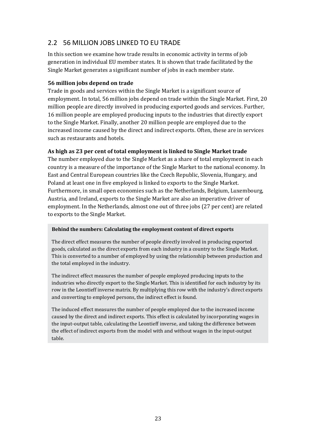# <span id="page-22-0"></span>2.2 56 MILLION JOBS LINKED TO EU TRADE

In this section we examine how trade results in economic activity in terms of job generation in individual EU member states. It is shown that trade facilitated by the Single Market generates a significant number of jobs in each member state.

#### **56 million jobs depend on trade**

Trade in goods and services within the Single Market is a significant source of employment. In total, 56 million jobs depend on trade within the Single Market. First, 20 million people are directly involved in producing exported goods and services. Further, 16 million people are employed producing inputs to the industries that directly export to the Single Market. Finally, another 20 million people are employed due to the increased income caused by the direct and indirect exports. Often, these are in services such as restaurants and hotels.

#### **As high as 23 per cent of total employment is linked to Single Market trade**

The number employed due to the Single Market as a share of total employment in each country is a measure of the importance of the Single Market to the national economy. In East and Central European countries like the Czech Republic, Slovenia, Hungary, and Poland at least one in five employed is linked to exports to the Single Market. Furthermore, in small open economies such as the Netherlands, Belgium, Luxembourg, Austria, and Ireland, exports to the Single Market are also an imperative driver of employment. In the Netherlands, almost one out of three jobs (27 per cent) are related to exports to the Single Market.

#### **Behind the numbers: Calculating the employment content of direct exports**

The direct effect measures the number of people directly involved in producing exported goods, calculated as the direct exports from each industry in a country to the Single Market. This is converted to a number of employed by using the relationship between production and the total employed in the industry.

The indirect effect measures the number of people employed producing inputs to the industries who directly export to the Single Market. This is identified for each industry by its row in the Leontieff inverse matrix. By multiplying this row with the industry's direct exports and converting to employed persons, the indirect effect is found.

The induced effect measures the number of people employed due to the increased income caused by the direct and indirect exports. This effect is calculated by incorporating wages in the input-output table, calculating the Leontieff inverse, and taking the difference between the effect of indirect exports from the model with and without wages in the input-output table.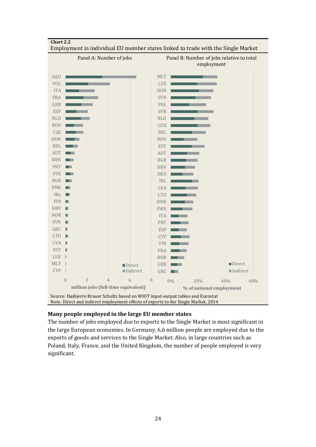

#### **Many people employed in the large EU member states**

The number of jobs employed due to exports to the Single Market is most significant in the large European economies. In Germany, 6,6 million people are employed due to the exports of goods and services to the Single Market. Also, in large countries such as Poland, Italy, France, and the United Kingdom, the number of people employed is very significant.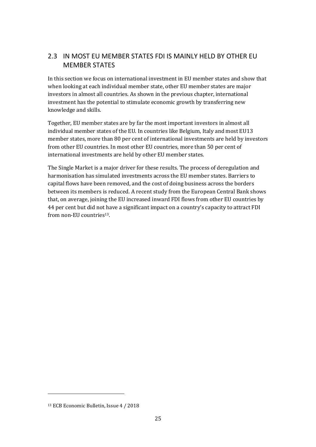# <span id="page-24-0"></span>2.3 IN MOST EU MEMBER STATES FDI IS MAINLY HELD BY OTHER EU MEMBER STATES

In this section we focus on international investment in EU member states and show that when looking at each individual member state, other EU member states are major investors in almost all countries. As shown in the previous chapter, international investment has the potential to stimulate economic growth by transferring new knowledge and skills.

Together, EU member states are by far the most important investors in almost all individual member states of the EU. In countries like Belgium, Italy and most EU13 member states, more than 80 per cent of international investments are held by investors from other EU countries. In most other EU countries, more than 50 per cent of international investments are held by other EU member states.

<span id="page-24-2"></span>The Single Market is a major driver for these results. The process of deregulation and harmonisation has simulated investments across the EU member states. Barriers to capital flows have been removed, and the cost of doing business across the borders between its members is reduced. A recent study from the European Central Bank shows that, on average, joining the EU increased inward FDI flows from other EU countries by 44 per cent but did not have a significant impact on a country's capacity to attract FDI from non-EU countries[13](#page-24-1).

<span id="page-24-1"></span>[<sup>13</sup>](#page-24-2) ECB Economic Bulletin, Issue 4 / 2018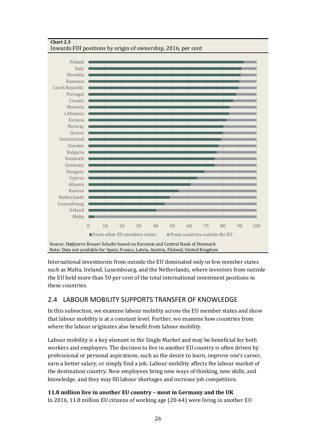

#### **Chart 2.3**  Inwards FDI positions by origin of ownership, 2016, per cent

Note: Data not available for Spain, France, Latvia, Austria, Finland, United Kingdom

International investments from outside the EU dominated only in few member states such as Malta, Ireland, Luxembourg, and the Netherlands, where investors from outside the EU held more than 50 per cent of the total international investment positions in these countries.

# <span id="page-25-0"></span>2.4 LABOUR MOBILITY SUPPORTS TRANSFER OF KNOWLEDGE

In this subsection, we examine labour mobility across the EU member states and show that labour mobility is at a constant level. Further, we examine how countries from where the labour originates also benefit from labour mobility.

Labour mobility is a key element in the Single Market and may be beneficial for both workers and employers. The decision to live in another EU country is often driven by professional or personal aspirations, such as the desire to learn, improve one's career, earn a better salary, or simply find a job. Labour mobility affects the labour market of the destination country. New employees bring new ways of thinking, new skills, and knowledge, and they may fill labour shortages and increase job competition.

### **11.8 million live in another EU country – most in Germany and the UK**

In 2016, 11.8 million EU citizens of working age (20-64) were living in another EU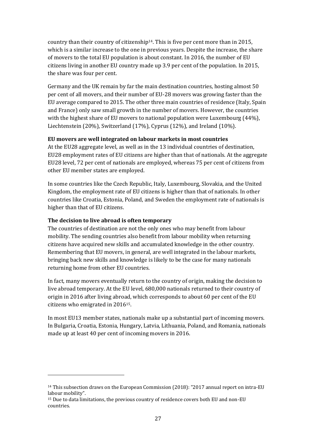<span id="page-26-1"></span>country than their country of citizenship[14](#page-26-0). This is five per cent more than in 2015, which is a similar increase to the one in previous years. Despite the increase, the share of movers to the total EU population is about constant. In 2016, the number of EU citizens living in another EU country made up 3.9 per cent of the population. In 2015, the share was four per cent.

Germany and the UK remain by far the main destination countries, hosting almost 50 per cent of all movers, and their number of EU-28 movers was growing faster than the EU average compared to 2015. The other three main countries of residence (Italy, Spain and France) only saw small growth in the number of movers. However, the countries with the highest share of EU movers to national population were Luxembourg (44%), Liechtenstein (20%), Switzerland (17%), Cyprus (12%), and Ireland (10%).

#### **EU movers are well integrated on labour markets in most countries**

At the EU28 aggregate level, as well as in the 13 individual countries of destination, EU28 employment rates of EU citizens are higher than that of nationals. At the aggregate EU28 level, 72 per cent of nationals are employed, whereas 75 per cent of citizens from other EU member states are employed.

In some countries like the Czech Republic, Italy, Luxembourg, Slovakia, and the United Kingdom, the employment rate of EU citizens is higher than that of nationals. In other countries like Croatia, Estonia, Poland, and Sweden the employment rate of nationals is higher than that of EU citizens.

#### **The decision to live abroad is often temporary**

The countries of destination are not the only ones who may benefit from labour mobility. The sending countries also benefit from labour mobility when returning citizens have acquired new skills and accumulated knowledge in the other country. Remembering that EU movers, in general, are well integrated in the labour markets, bringing back new skills and knowledge is likely to be the case for many nationals returning home from other EU countries.

In fact, many movers eventually return to the country of origin, making the decision to live abroad temporary. At the EU level, 680,000 nationals returned to their country of origin in 2016 after living abroad, which corresponds to about 60 per cent of the EU citizens who emigrated in 2016[15](#page-26-2).

<span id="page-26-3"></span>In most EU13 member states, nationals make up a substantial part of incoming movers. In Bulgaria, Croatia, Estonia, Hungary, Latvia, Lithuania, Poland, and Romania, nationals made up at least 40 per cent of incoming movers in 2016.

<span id="page-26-0"></span>[<sup>14</sup>](#page-26-1) This subsection draws on the European Commission (2018): "2017 annual report on intra-EU labour mobility".

<span id="page-26-2"></span>[<sup>15</sup>](#page-26-3) Due to data limitations, the previous country of residence covers both EU and non-EU countries.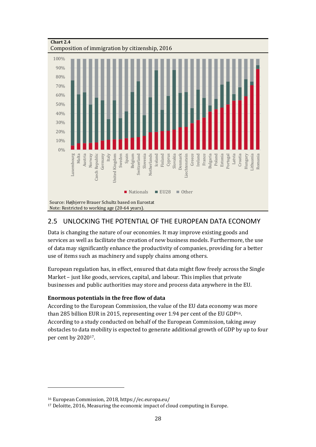

### <span id="page-27-0"></span>2.5 UNLOCKING THE POTENTIAL OF THE EUROPEAN DATA ECONOMY

Data is changing the nature of our economies. It may improve existing goods and services as well as facilitate the creation of new business models. Furthermore, the use of data may significantly enhance the productivity of companies, providing for a better use of items such as machinery and supply chains among others.

European regulation has, in effect, ensured that data might flow freely across the Single Market – just like goods, services, capital, and labour. This implies that private businesses and public authorities may store and process data anywhere in the EU.

#### **Enormous potentials in the free flow of data**

<span id="page-27-4"></span><span id="page-27-2"></span>According to the European Commission, the value of the EU data economy was more than 285 billion EUR in 2015, representing over 1.94 per cent of the EU GDP[16](#page-27-1). According to a study conducted on behalf of the European Commission, taking away obstacles to data mobility is expected to generate additional growth of GDP by up to four per cent by 2020[17](#page-27-3).

<span id="page-27-1"></span>[<sup>16</sup>](#page-27-2) European Commission, 2018,<https://ec.europa.eu/>

<span id="page-27-3"></span>[<sup>17</sup>](#page-27-4) Deloitte, 2016, Measuring the economic impact of cloud computing in Europe.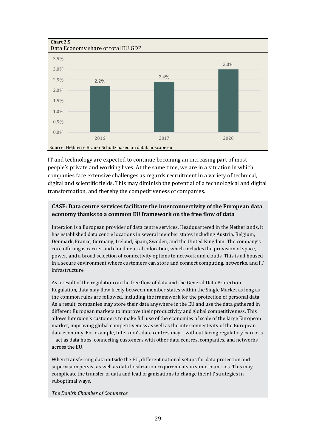**Chart 2.5** 



IT and technology are expected to continue becoming an increasing part of most people's private and working lives. At the same time, we are in a situation in which companies face extensive challenges as regards recruitment in a variety of technical, digital and scientific fields. This may diminish the potential of a technological and digital transformation, and thereby the competitiveness of companies.

#### **CASE: Data centre services facilitate the interconnectivity of the European data economy thanks to a common EU framework on the free flow of data**

Interxion is a European provider of data centre services. Headquartered in the Netherlands, it has established data centre locations in several member states including Austria, Belgium, Denmark, France, Germany, Ireland, Spain, Sweden, and the United Kingdom. The company's core offering is carrier and cloud neutral colocation, which includes the provision of space, power, and a broad selection of connectivity options to network and clouds. This is all housed in a secure environment where customers can store and connect computing, networks, and IT infrastructure.

As a result of the regulation on the free flow of data and the General Data Protection Regulation, data may flow freely between member states within the Single Market as long as the common rules are followed, including the framework for the protection of personal data. As a result, companies may store their data anywhere in the EU and use the data gathered in different European markets to improve their productivity and global competitiveness. This allows Interxion's customers to make full use of the economies of scale of the large European market, improving global competitiveness as well as the interconnectivity of the European data economy. For example, Interxion's data centres may – without facing regulatory barriers – act as data hubs, connecting customers with other data centres, companies, and networks across the EU.

When transferring data outside the EU, different national setups for data protection and supervision persist as well as data localization requirements in some countries. This may complicate the transfer of data and lead organizations to change their IT strategies in suboptimal ways.

*The Danish Chamber of Commerce*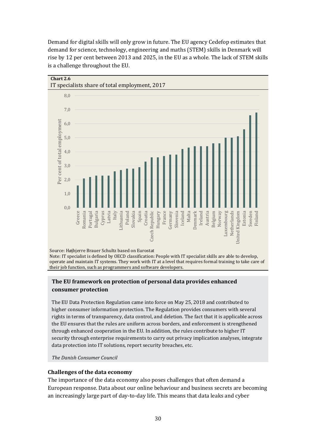

Demand for digital skills will only grow in future. The EU agency Cedefop estimates that demand for science, technology, engineering and maths (STEM) skills in Denmark will rise by 12 per cent between 2013 and 2025, in the EU as a whole. The lack of STEM skills is a challenge throughout the EU.

Source: Højbjerre Brauer Schultz based on Eurostat Note: IT specialist is defined by OECD classification: People with IT specialist skills are able to develop, operate and maintain IT systems. They work with IT at a level that requires formal training to take care of their job function, such as programmers and software developers.

#### **The EU framework on protection of personal data provides enhanced consumer protection**

The EU Data Protection Regulation came into force on May 25, 2018 and contributed to higher consumer information protection. The Regulation provides consumers with several rights in terms of transparency, data control, and deletion. The fact that it is applicable across the EU ensures that the rules are uniform across borders, and enforcement is strengthened through enhanced cooperation in the EU. In addition, the rules contribute to higher IT security through enterprise requirements to carry out privacy implication analyses, integrate data protection into IT solutions, report security breaches, etc.

*The Danish Consumer Council* 

#### **Challenges of the data economy**

The importance of the data economy also poses challenges that often demand a European response. Data about our online behaviour and business secrets are becoming an increasingly large part of day-to-day life. This means that data leaks and cyber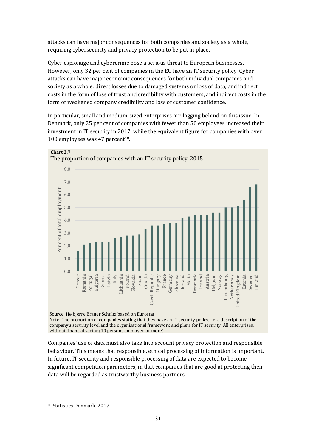attacks can have major consequences for both companies and society as a whole, requiring cybersecurity and privacy protection to be put in place.

Cyber espionage and cybercrime pose a serious threat to European businesses. However, only 32 per cent of companies in the EU have an IT security policy. Cyber attacks can have major economic consequences for both individual companies and society as a whole: direct losses due to damaged systems or loss of data, and indirect costs in the form of loss of trust and credibility with customers, and indirect costs in the form of weakened company credibility and loss of customer confidence.

In particular, small and medium-sized enterprises are lagging behind on this issue. In Denmark, only 25 per cent of companies with fewer than 50 employees increased their investment in IT security in 2017, while the equivalent figure for companies with over 100 employees was 47 percent<sup>[18](#page-30-0)</sup>.

<span id="page-30-1"></span>

company's security level and the organisational framework and plans for IT security. All enterprises, without financial sector (10 persons employed or more).

Companies' use of data must also take into account privacy protection and responsible behaviour. This means that responsible, ethical processing of information is important. In future, IT security and responsible processing of data are expected to become significant competition parameters, in that companies that are good at protecting their data will be regarded as trustworthy business partners.

<span id="page-30-0"></span>[<sup>18</sup>](#page-30-1) Statistics Denmark, 2017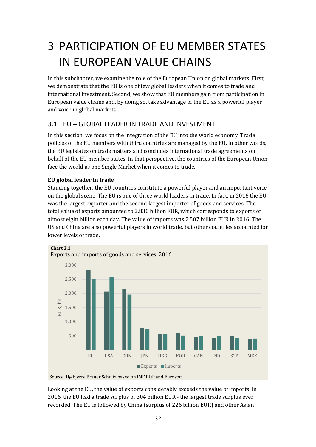# <span id="page-31-0"></span>3 PARTICIPATION OF EU MEMBER STATES IN EUROPEAN VALUE CHAINS

In this subchapter, we examine the role of the European Union on global markets. First, we demonstrate that the EU is one of few global leaders when it comes to trade and international investment. Second, we show that EU members gain from participation in European value chains and, by doing so, take advantage of the EU as a powerful player and voice in global markets.

### <span id="page-31-1"></span>3.1 EU – GLOBAL LEADER IN TRADE AND INVESTMENT

In this section, we focus on the integration of the EU into the world economy. Trade policies of the EU members with third countries are managed by the EU. In other words, the EU legislates on trade matters and concludes international trade agreements on behalf of the EU member states. In that perspective, the countries of the European Union face the world as one Single Market when it comes to trade.

#### **EU global leader in trade**

Standing together, the EU countries constitute a powerful player and an important voice on the global scene. The EU is one of three world leaders in trade. In fact, in 2016 the EU was the largest exporter and the second largest importer of goods and services. The total value of exports amounted to 2.830 billion EUR, which corresponds to exports of almost eight billion each day. The value of imports was 2.507 billion EUR in 2016. The US and China are also powerful players in world trade, but other countries accounted for lower levels of trade.



Looking at the EU, the value of exports considerably exceeds the value of imports. In 2016, the EU had a trade surplus of 304 billion EUR - the largest trade surplus ever<br>recorded. The EU is followed by China (surplus of 226 billion EUP) and other Asian recorded. The EU is followed by China (surplus of 226 billion EUR) and other Asian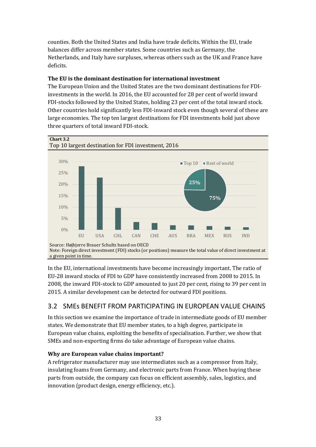counties. Both the United States and India have trade deficits. Within the EU, trade balances differ across member states. Some countries such as Germany, the Netherlands, and Italy have surpluses, whereas others such as the UK and France have deficits.

#### **The EU is the dominant destination for international investment**

The European Union and the United States are the two dominant destinations for FDIinvestments in the world. In 2016, the EU accounted for 28 per cent of world inward FDI-stocks followed by the United States, holding 23 per cent of the total inward stock. Other countries hold significantly less FDI-inward stock even though several of these are large economies. The top ten largest destinations for FDI investments hold just above three quarters of total inward FDI-stock.



Note: Foreign direct investment (FDI) stocks (or positions) measure the total value of direct investment at a given point in time.

In the EU, international investments have become increasingly important. The ratio of EU‑28 inward stocks of FDI to GDP have consistently increased from 2008 to 2015. In 2008, the inward FDI-stock to GDP amounted to just 20 per cent, rising to 39 per cent in 2015. A similar development can be detected for outward FDI positions.

# <span id="page-32-0"></span>3.2 SMEs BENEFIT FROM PARTICIPATING IN EUROPEAN VALUE CHAINS

In this section we examine the importance of trade in intermediate goods of EU member states. We demonstrate that EU member states, to a high degree, participate in European value chains, exploiting the benefits of specialisation. Further, we show that SMEs and non-exporting firms do take advantage of European value chains.

### **Why are European value chains important?**

A refrigerator manufacturer may use intermediates such as a compressor from Italy, insulating foams from Germany, and electronic parts from France. When buying these parts from outside, the company can focus on efficient assembly, sales, logistics, and innovation (product design, energy efficiency, etc.).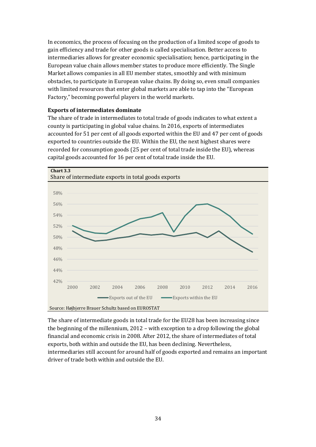In economics, the process of focusing on the production of a limited scope of goods to gain efficiency and trade for other goods is called specialisation. Better access to intermediaries allows for greater economic specialisation; hence, participating in the European value chain allows member states to produce more efficiently. The Single Market allows companies in all EU member states, smoothly and with minimum obstacles, to participate in European value chains. By doing so, even small companies with limited resources that enter global markets are able to tap into the "European Factory," becoming powerful players in the world markets.

#### **Exports of intermediates dominate**

The share of trade in intermediates to total trade of goods indicates to what extent a county is participating in global value chains. In 2016, exports of intermediates accounted for 51 per cent of all goods exported within the EU and 47 per cent of goods exported to countries outside the EU. Within the EU, the next highest shares were recorded for consumption goods (25 per cent of total trade inside the EU), whereas capital goods accounted for 16 per cent of total trade inside the EU.



The share of intermediate goods in total trade for the EU28 has been increasing since the beginning of the millennium, 2012 – with exception to a drop following the global financial and economic crisis in 2008. After 2012, the share of intermediates of total exports, both within and outside the EU, has been declining. Nevertheless, intermediaries still account for around half of goods exported and remains an important driver of trade both within and outside the EU.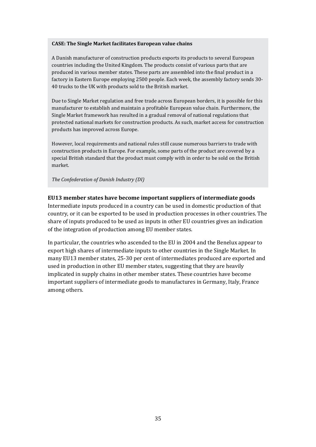#### **CASE: The Single Market facilitates European value chains**

A Danish manufacturer of construction products exports its products to several European countries including the United Kingdom. The products consist of various parts that are produced in various member states. These parts are assembled into the final product in a factory in Eastern Europe employing 2500 people. Each week, the assembly factory sends 30- 40 trucks to the UK with products sold to the British market.

Due to Single Market regulation and free trade across European borders, it is possible for this manufacturer to establish and maintain a profitable European value chain. Furthermore, the Single Market framework has resulted in a gradual removal of national regulations that protected national markets for construction products. As such, market access for construction products has improved across Europe.

However, local requirements and national rules still cause numerous barriers to trade with construction products in Europe. For example, some parts of the product are covered by a special British standard that the product must comply with in order to be sold on the British market.

*The Confederation of Danish Industry (DI)* 

#### **EU13 member states have become important suppliers of intermediate goods**

Intermediate inputs produced in a country can be used in domestic production of that country, or it can be exported to be used in production processes in other countries. The share of inputs produced to be used as inputs in other EU countries gives an indication of the integration of production among EU member states.

In particular, the countries who ascended to the EU in 2004 and the Benelux appear to export high shares of intermediate inputs to other countries in the Single Market. In many EU13 member states, 25-30 per cent of intermediates produced are exported and used in production in other EU member states, suggesting that they are heavily implicated in supply chains in other member states. These countries have become important suppliers of intermediate goods to manufactures in Germany, Italy, France among others.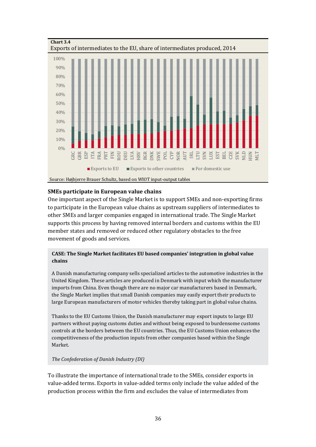

#### **SMEs participate in European value chains**

One important aspect of the Single Market is to support SMEs and non-exporting firms to participate in the European value chains as upstream suppliers of intermediates to other SMEs and larger companies engaged in international trade. The Single Market supports this process by having removed internal borders and customs within the EU member states and removed or reduced other regulatory obstacles to the free movement of goods and services.

#### **CASE: The Single Market facilitates EU based companies' integration in global value chains**

A Danish manufacturing company sells specialized articles to the automotive industries in the United Kingdom. These articles are produced in Denmark with input which the manufacturer imports from China. Even though there are no major car manufacturers based in Denmark, the Single Market implies that small Danish companies may easily export their products to large European manufacturers of motor vehicles thereby taking part in global value chains.

Thanks to the EU Customs Union, the Danish manufacturer may export inputs to large EU partners without paying customs duties and without being exposed to burdensome customs controls at the borders between the EU countries. Thus, the EU Customs Union enhances the competitiveness of the production inputs from other companies based within the Single Market.

#### *The Confederation of Danish Industry (DI)*

To illustrate the importance of international trade to the SMEs, consider exports in value-added terms. Exports in value-added terms only include the value added of the production process within the firm and excludes the value of intermediates from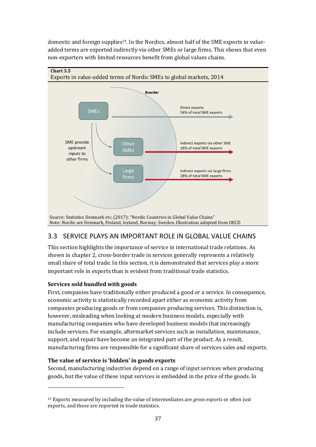<span id="page-36-2"></span>domestic and foreign supplies<sup>[19](#page-36-1)</sup>. In the Nordics, almost half of the SME exports in valueadded terms are exported indirectly via other SMEs or large firms. This shows that even non-exporters with limited resources benefit from global values chains.



# <span id="page-36-0"></span>3.3 SERVICE PLAYS AN IMPORTANT ROLE IN GLOBAL VALUE CHAINS

This section highlights the importance of service in international trade relations. As shown in chapter 2, cross-border trade in services generally represents a relatively small share of total trade. In this section, it is demonstrated that services play a more important role in exports than is evident from traditional trade statistics*.*

#### **Services sold bundled with goods**

First, companies have traditionally either produced a good or a service. In consequence, economic activity is statistically recorded apart either as economic activity from companies producing goods or from companies producing services. This distinction is, however, misleading when looking at modern business models, especially with manufacturing companies who have developed business models that increasingly include services. For example, aftermarket services such as installation, maintenance, support, and repair have become an integrated part of the product. As a result, manufacturing firms are responsible for a significant share of services sales and exports.

#### **The value of service is 'hidden' in goods exports**

Second, manufacturing industries depend on a range of input services when producing goods, but the value of these input services is embedded in the price of the goods. In

<span id="page-36-1"></span>[<sup>19</sup>](#page-36-2) Exports measured by including the value of intermediates are *gross exports* or often just exports, and these are reported in trade statistics.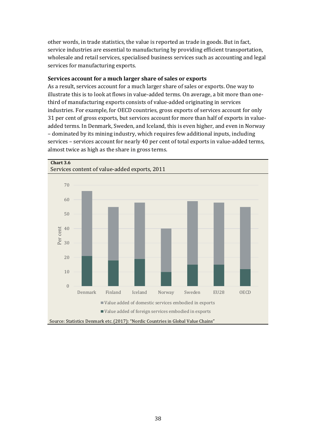other words, in trade statistics, the value is reported as trade in goods. But in fact, service industries are essential to manufacturing by providing efficient transportation, wholesale and retail services, specialised business services such as accounting and legal services for manufacturing exports.

#### **Services account for a much larger share of sales or exports**

As a result, services account for a much larger share of sales or exports. One way to illustrate this is to look at flows in value-added terms. On average, a bit more than onethird of manufacturing exports consists of value-added originating in services industries. For example, for OECD countries, gross exports of services account for only 31 per cent of gross exports, but services account for more than half of exports in valueadded terms. In Denmark, Sweden, and Iceland, this is even higher, and even in Norway – dominated by its mining industry, which requires few additional inputs, including services – services account for nearly 40 per cent of total exports in value-added terms, almost twice as high as the share in gross terms.

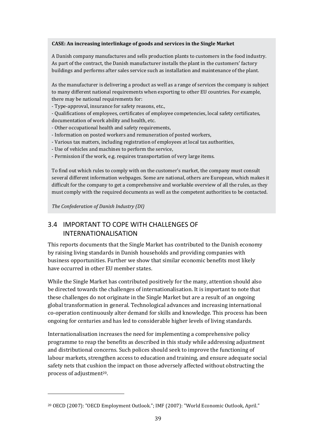#### **CASE: An increasing interlinkage of goods and services in the Single Market**

A Danish company manufactures and sells production plants to customers in the food industry. As part of the contract, the Danish manufacturer installs the plant in the customers' factory buildings and performs after sales service such as installation and maintenance of the plant.

As the manufacturer is delivering a product as well as a range of services the company is subject to many different national requirements when exporting to other EU countries. For example, there may be national requirements for:

- Type-approval, insurance for safety reasons, etc.,

- Qualifications of employees, certificates of employee competencies, local safety certificates, documentation of work ability and health, etc.

- Other occupational health and safety requirements,

- Information on posted workers and remuneration of posted workers,

- Various tax matters, including registration of employees at local tax authorities,
- Use of vehicles and machines to perform the service,
- Permission if the work, e.g. requires transportation of very large items.

To find out which rules to comply with on the customer's market, the company must consult several different information webpages. Some are national, others are European, which makes it difficult for the company to get a comprehensive and workable overview of all the rules, as they must comply with the required documents as well as the competent authorities to be contacted.

*The Confederation of Danish Industry (DI)* 

# <span id="page-38-0"></span>3.4 IMPORTANT TO COPE WITH CHALLENGES OF INTERNATIONALISATION

This reports documents that the Single Market has contributed to the Danish economy by raising living standards in Danish households and providing companies with business opportunities. Further we show that similar economic benefits most likely have occurred in other EU member states.

While the Single Market has contributed positively for the many, attention should also be directed towards the challenges of internationalisation. It is important to note that these challenges do not originate in the Single Market but are a result of an ongoing global transformation in general. Technological advances and increasing international co-operation continuously alter demand for skills and knowledge. This process has been ongoing for centuries and has led to considerable higher levels of living standards.

Internationalisation increases the need for implementing a comprehensive policy programme to reap the benefits as described in this study while addressing adjustment and distributional concerns. Such polices should seek to improve the functioning of labour markets, strengthen access to education and training, and ensure adequate social safety nets that cushion the impact on those adversely affected without obstructing the process of adjustment<sup>[20](#page-38-1)</sup>.

<span id="page-38-2"></span><span id="page-38-1"></span>[<sup>20</sup>](#page-38-2) OECD (2007): "OECD Employment Outlook."; IMF (2007): "World Economic Outlook, April."